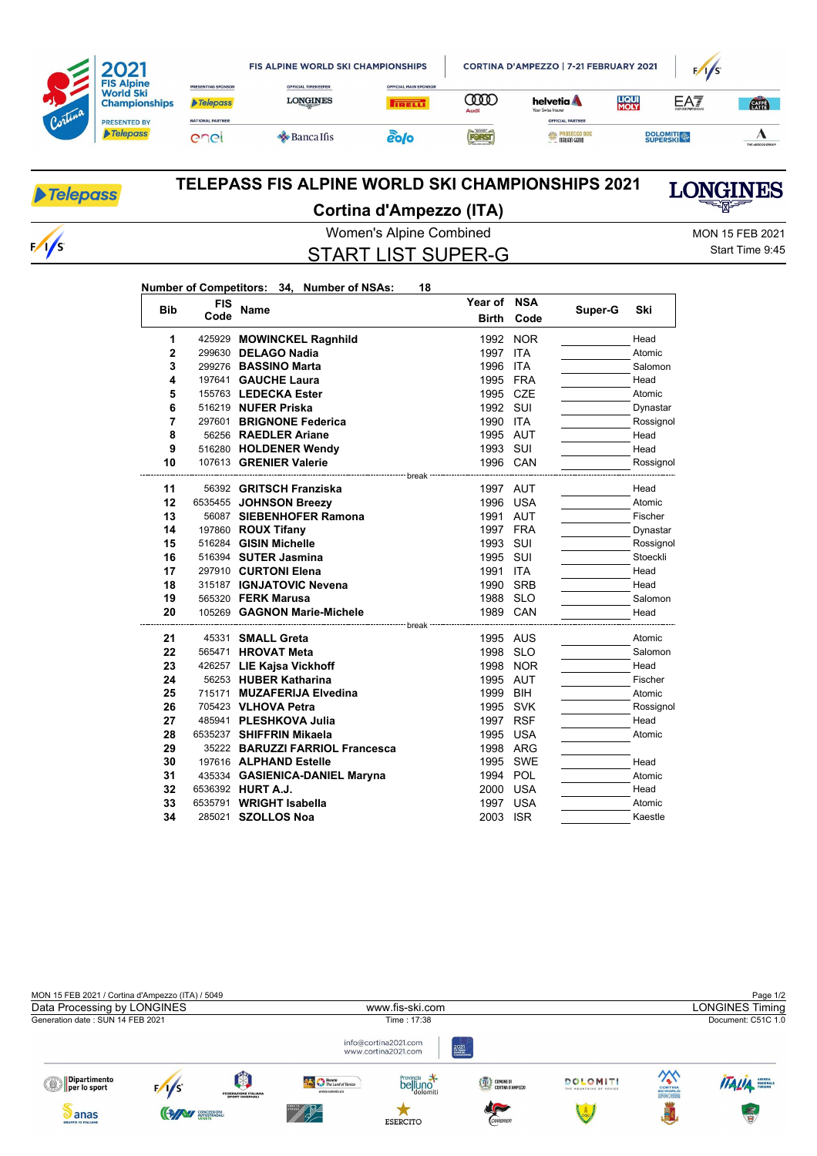|         |                                                               |                                              | <b>FIS ALPINE WORLD SKI CHAMPIONSHIPS</b>     | CORTINA D'AMPEZZO   7-21 FEBRUARY 2021       |               |                                                                    | $1/1$ S              |                 |                  |
|---------|---------------------------------------------------------------|----------------------------------------------|-----------------------------------------------|----------------------------------------------|---------------|--------------------------------------------------------------------|----------------------|-----------------|------------------|
|         | <b>FIS Alpine</b><br><b>World Ski</b><br><b>Championships</b> | <b>PRESENTING SPONSOR</b><br><b>Telepass</b> | <b>OFFICIAL TIMEKEEPER</b><br><b>LONGINES</b> | <b>OFFICIAL MAIN SPONSOR</b><br><b>TRELL</b> | WO            | helvetia A                                                         | <b>LIQUI</b><br>MOLY | EAT             | <b>CATA</b>      |
| Cortina | <b>PRESENTED BY</b><br>Telepass                               | <b>NATIONAL PARTNER</b><br>enei              | $\triangle$ Banca Ifis                        | ẽo[o                                         | Audi<br>FORST | Your Swiss Insurer<br>OFFICIAL PARTNER<br><b>ESSA PROSECCO DOC</b> |                      | <b>DOLOMITI</b> |                  |
|         |                                                               |                                              |                                               |                                              |               | <b>TALIAN GENIO</b>                                                |                      |                 | THE ADECCO GROUP |

## Telepass

 $\sqrt{s}$ 

## **TELEPASS FIS ALPINE WORLD SKI CHAMPIONSHIPS 2021 Cortina d'Ampezzo (ITA)**

Women's Alpine Combined MON 15 FEB 2021 START LIST SUPER-G

**Year of NSA**

Start Time 9:45

**LONGINES** 

## **Number of Competitors: 34, Number of NSAs: 18**

| <b>Bib</b> | <b>FIS</b> | <b>Name</b>                                        | Year of              | <b>NSA</b> | Super-G | Ski               |
|------------|------------|----------------------------------------------------|----------------------|------------|---------|-------------------|
|            | Code       |                                                    | <b>Birth</b>         | Code       |         |                   |
| 1          |            | 425929 MOWINCKEL Ragnhild                          | 1992                 | <b>NOR</b> |         | Head              |
| 2          |            | 299630 DELAGO Nadia                                | 1997                 | <b>ITA</b> |         | Atomic            |
| 3          |            | 299276 BASSINO Marta                               | 1996                 | <b>ITA</b> |         | Salomon           |
| 4          |            | 197641 GAUCHE Laura                                | 1995 FRA             |            |         | Head              |
| 5          |            | 155763 LEDECKA Ester                               | 1995                 | CZE        |         | Atomic            |
| 6          |            | 516219 NUFER Priska                                | 1992 SUI             |            |         | Dynastar          |
| 7          |            | 297601 BRIGNONE Federica                           | 1990                 | <b>ITA</b> |         | Rossignol         |
| 8          |            | 56256 RAEDLER Ariane                               | 1995 AUT             |            |         | Head              |
| 9          |            | 516280 HOLDENER Wendy                              | 1993 SUI             |            |         | Head              |
| 10         |            | 107613 GRENIER Valerie                             | 1996 CAN             |            |         | Rossignol         |
|            |            | ----------------- break                            |                      |            |         |                   |
| 11         |            | 56392 GRITSCH Franziska                            | 1997 AUT             |            |         | Head              |
| 12<br>13   |            | 6535455 JOHNSON Breezy<br>56087 SIEBENHOFER Ramona | 1996 USA<br>1991 AUT |            |         | Atomic<br>Fischer |
| 14         |            | 197860 <b>ROUX Tifany</b>                          | 1997 FRA             |            |         | Dynastar          |
| 15         |            | 516284 GISIN Michelle                              | 1993 SUI             |            |         | Rossignol         |
| 16         |            | 516394 SUTER Jasmina                               | 1995 SUI             |            |         | Stoeckli          |
| 17         |            | 297910 CURTONI Elena                               | 1991                 | <b>ITA</b> |         | Head              |
| 18         |            | 315187 IGNJATOVIC Nevena                           | 1990                 | <b>SRB</b> |         | Head              |
| 19         |            | 565320 FERK Marusa                                 | 1988 SLO             |            |         | Salomon           |
| 20         |            | 105269 GAGNON Marie-Michele                        | 1989 CAN             |            |         | Head              |
|            |            | ---------------- break                             |                      |            |         |                   |
| 21         |            | 45331 SMALL Greta                                  | 1995 AUS             |            |         | Atomic            |
| 22         |            | 565471 HROVAT Meta                                 | 1998 SLO             |            |         | Salomon           |
| 23         |            | 426257 LIE Kajsa Vickhoff                          | 1998                 | <b>NOR</b> |         | Head              |
| 24         |            | 56253 HUBER Katharina                              | 1995                 | AUT        |         | Fischer           |
| 25         |            | 715171 MUZAFERIJA Elvedina                         | 1999                 | <b>BIH</b> |         | Atomic            |
| 26         |            | 705423 VLHOVA Petra                                | 1995                 | SVK        |         | Rossignol         |
| 27         |            | 485941 PLESHKOVA Julia                             | 1997 RSF             |            |         | Head              |
| 28         |            | 6535237 SHIFFRIN Mikaela                           | 1995                 | <b>USA</b> |         | Atomic            |
| 29         |            | 35222 BARUZZI FARRIOL Francesca                    | 1998 ARG             |            |         |                   |
| 30         |            | 197616 ALPHAND Estelle                             |                      | 1995 SWE   |         | Head              |
| 31         |            | 435334 GASIENICA-DANIEL Maryna                     | 1994 POL             |            |         | Atomic            |
| 32         |            | 6536392 HURT A.J.                                  | 2000 USA             |            |         | Head              |
| 33         |            | 6535791 WRIGHT Isabella                            | 1997 USA             |            |         | Atomic            |
| 34         |            | 285021 SZOLLOS Noa                                 | 2003 ISR             |            |         | Kaestle           |